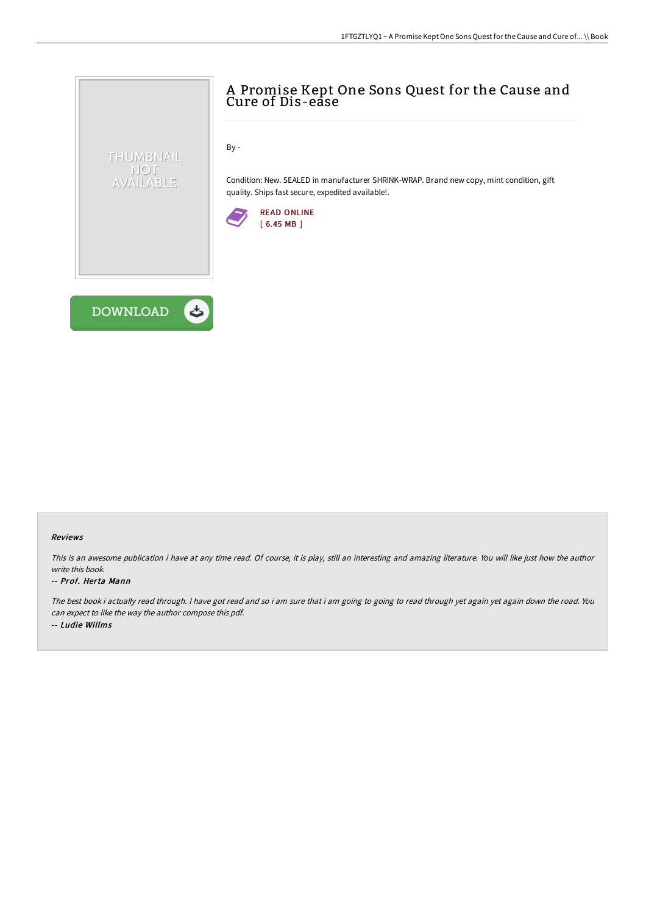

By -

Condition: New. SEALED in manufacturer SHRINK-WRAP. Brand new copy, mint condition, gift quality. Ships fast secure, expedited available!.





THUMBNAIL NOT AVAILABLE

## Reviews

This is an awesome publication i have at any time read. Of course, it is play, still an interesting and amazing literature. You will like just how the author write this book.

## -- Prof. Herta Mann

The best book i actually read through. I have got read and so i am sure that i am going to going to read through yet again yet again down the road. You can expect to like the way the author compose this pdf. -- Ludie Willms